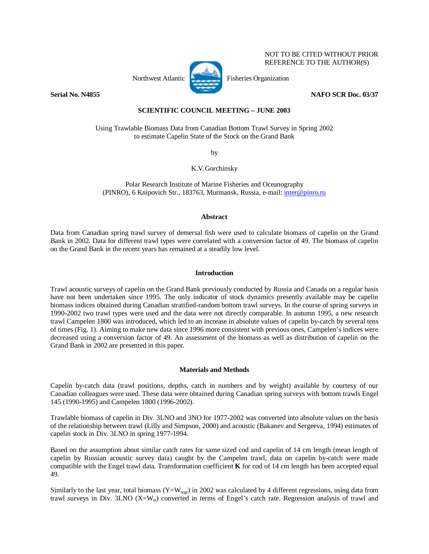# NOT TO BE CITED WITHOUT PRIOR REFERENCE TO THE AUTHOR(S)



Northwest Atlantic **Fisheries** Organization

**Serial No. N4855 NAFO SCR Doc. 03/37** 

## **SCIENTIFIC COUNCIL MEETING – JUNE 2003**

Using Trawlable Biomass Data from Canadian Bottom Trawl Survey in Spring 2002 to estimate Capelin State of the Stock on the Grand Bank

by

K.V.Gorchinsky

Polar Research Institute of Marine Fisheries and Oceanography (PINRO), 6 Knipovich Str., 183763, Murmansk, Russia, e-mail: inter@pinro.ru

### **Abstract**

Data from Canadian spring trawl survey of demersal fish were used to calculate biomass of capelin on the Grand Bank in 2002. Data for different trawl types were correlated with a conversion factor of 49. The biomass of capelin on the Grand Bank in the recent years has remained at a steadily low level.

### **Introduction**

Trawl acoustic surveys of capelin on the Grand Bank previously conducted by Russia and Canada on a regular basis have not been undertaken since 1995. The only indicator of stock dynamics presently available may be capelin biomass indices obtained during Canadian stratified-random bottom trawl surveys. In the course of spring surveys in 1990-2002 two trawl types were used and the data were not directly comparable. In autumn 1995, a new research trawl Campelen 1800 was introduced, which led to an increase in absolute values of capelin by-catch by several tens of times (Fig. 1). Aiming to make new data since 1996 more consistent with previous ones, Campelen's indices were decreased using a conversion factor of 49. An assessment of the biomass as well as distribution of capelin on the Grand Bank in 2002 are presented in this paper.

### **Materials and Methods**

Capelin by-catch data (trawl positions, depths, catch in numbers and by weight) available by courtesy of our Canadian colleagues were used. These data were obtained during Canadian spring surveys with bottom trawls Engel 145 (1990-1995) and Campelen 1800 (1996-2002).

Trawlable biomass of capelin in Div. 3LNO and 3NO for 1977-2002 was converted into absolute values on the basis of the relationship between trawl (Lilly and Simpson, 2000) and acoustic (Bakanev and Sergeeva, 1994) estimates of capelin stock in Div. 3LNO in spring 1977-1994.

Based on the assumption about similar catch rates for same sized cod and capelin of 14 cm length (mean length of capelin by Russian acoustic survey data) caught by the Campelen trawl, data on capelin by-catch were made compatible with the Engel trawl data. Transformation coefficient **K** for cod of 14 cm length has been accepted equal 49.

Similarly to the last year, total biomass (Y=W<sub>regr</sub>) in 2002 was calculated by 4 different regressions, using data from trawl surveys in Div. 3LNO  $(X=W_{tr})$  converted in terms of Engel's catch rate. Regression analysis of trawl and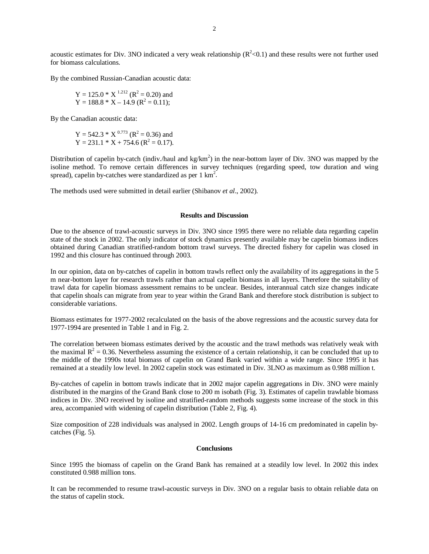acoustic estimates for Div. 3NO indicated a very weak relationship  $(R^2<0.1)$  and these results were not further used for biomass calculations.

By the combined Russian-Canadian acoustic data:

Y = 125.0 \* X 1.212 (R2 = 0.20) and Y = 188.8 \* X – 14.9 (R2 = 0.11);

By the Canadian acoustic data:

Y = 542.3 \* X 0.773 (R2 = 0.36) and Y = 231.1 \* X + 754.6 (R2 = 0.17).

Distribution of capelin by-catch (indiv./haul and kg/km<sup>2</sup>) in the near-bottom layer of Div. 3NO was mapped by the isoline method. To remove certain differences in survey techniques (regarding speed, tow duration and wing spread), capelin by-catches were standardized as per  $1 \text{ km}^2$ .

The methods used were submitted in detail earlier (Shibanov *et al*., 2002).

#### **Results and Discussion**

Due to the absence of trawl-acoustic surveys in Div. 3NO since 1995 there were no reliable data regarding capelin state of the stock in 2002. The only indicator of stock dynamics presently available may be capelin biomass indices obtained during Canadian stratified-random bottom trawl surveys. The directed fishery for capelin was closed in 1992 and this closure has continued through 2003.

In our opinion, data on by-catches of capelin in bottom trawls reflect only the availability of its aggregations in the 5 m near-bottom layer for research trawls rather than actual capelin biomass in all layers. Therefore the suitability of trawl data for capelin biomass assessment remains to be unclear. Besides, interannual catch size changes indicate that capelin shoals can migrate from year to year within the Grand Bank and therefore stock distribution is subject to considerable variations.

Biomass estimates for 1977-2002 recalculated on the basis of the above regressions and the acoustic survey data for 1977-1994 are presented in Table 1 and in Fig. 2.

The correlation between biomass estimates derived by the acoustic and the trawl methods was relatively weak with the maximal  $R^2 = 0.36$ . Nevertheless assuming the existence of a certain relationship, it can be concluded that up to the middle of the 1990s total biomass of capelin on Grand Bank varied within a wide range. Since 1995 it has remained at a steadily low level. In 2002 capelin stock was estimated in Div. 3LNO as maximum as 0.988 million t.

By-catches of capelin in bottom trawls indicate that in 2002 major capelin aggregations in Div. 3NO were mainly distributed in the margins of the Grand Bank close to 200 m isobath (Fig. 3). Estimates of capelin trawlable biomass indices in Div. 3NO received by isoline and stratified-random methods suggests some increase of the stock in this area, accompanied with widening of capelin distribution (Table 2, Fig. 4).

Size composition of 228 individuals was analysed in 2002. Length groups of 14-16 cm predominated in capelin bycatches (Fig. 5).

#### **Conclusions**

Since 1995 the biomass of capelin on the Grand Bank has remained at a steadily low level. In 2002 this index constituted 0.988 million tons.

It can be recommended to resume trawl-acoustic surveys in Div. 3NO on a regular basis to obtain reliable data on the status of capelin stock.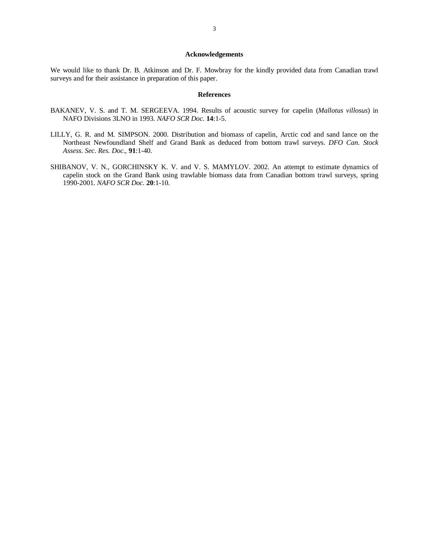#### **Acknowledgements**

We would like to thank Dr. B. Atkinson and Dr. F. Mowbray for the kindly provided data from Canadian trawl surveys and for their assistance in preparation of this paper.

#### **References**

- BAKANEV, V. S. and T. M. SERGEEVA. 1994. Results of acoustic survey for capelin (*Mallotus villosus*) in NAFO Divisions 3LNO in 1993. *NAFO SCR Doc*. **14**:1-5.
- LILLY, G. R. and M. SIMPSON. 2000. Distribution and biomass of capelin, Arctic cod and sand lance on the Northeast Newfoundland Shelf and Grand Bank as deduced from bottom trawl surveys. *DFO Can. Stock Assess. Sec. Res. Doc*., **91**:1-40.
- SHIBANOV, V. N., GORCHINSKY K. V. and V. S. MAMYLOV. 2002. An attempt to estimate dynamics of capelin stock on the Grand Bank using trawlable biomass data from Canadian bottom trawl surveys, spring 1990-2001. *NAFO SCR Doc.* **20**:1-10.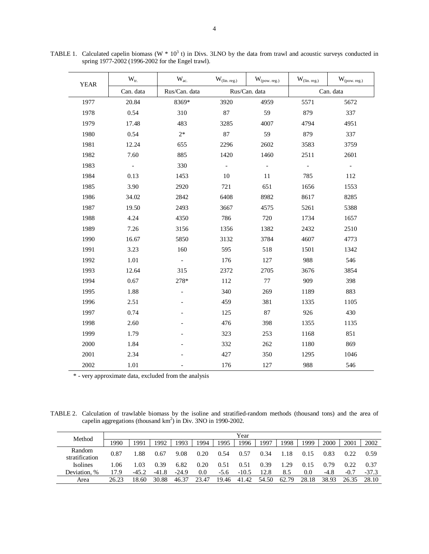| <b>YEAR</b> | $W_{tr.}$                | $W_{ac.}$                | $W_{(\text{lin. reg.})}$ | $W_{\left( pow.\,reg.\right)}$ | $W_{(lin. reg.)}$        | $W_{\left( pow.\,reg.\right)}$ |  |
|-------------|--------------------------|--------------------------|--------------------------|--------------------------------|--------------------------|--------------------------------|--|
|             | Can. data                | Rus/Can. data            |                          | Rus/Can. data                  | Can. data                |                                |  |
| 1977        | 20.84                    | 8369*                    | 3920                     | 4959                           | 5571                     | 5672                           |  |
| 1978        | 0.54                     | 310                      | 87                       | 59                             | 879                      | 337                            |  |
| 1979        | 17.48                    | 483                      | 3285                     | 4007                           | 4794                     | 4951                           |  |
| 1980        | 0.54                     | $2*$                     | 87                       | 59                             | 879                      | 337                            |  |
| 1981        | 12.24                    | 655                      | 2296<br>2602             |                                | 3583                     | 3759                           |  |
| 1982        | 7.60                     | 885                      | 1420                     | 1460                           | 2511                     | 2601                           |  |
| 1983        | $\overline{\phantom{a}}$ | 330                      | $\overline{\phantom{0}}$ | $\overline{\phantom{0}}$       | $\overline{\phantom{a}}$ | $\equiv$                       |  |
| 1984        | 0.13                     | 1453                     | 10                       | 11                             | 785                      | 112                            |  |
| 1985        | 3.90                     | 2920                     | 721                      | 651                            | 1656                     | 1553                           |  |
| 1986        | 34.02                    | 2842                     | 6408                     | 8982                           | 8617                     | 8285                           |  |
| 1987        | 19.50                    | 2493                     | 3667                     | 4575                           | 5261                     | 5388                           |  |
| 1988        | 4.24                     | 4350                     | 786                      | 720                            | 1734                     | 1657                           |  |
| 1989        | 7.26                     | 3156                     | 1356                     | 1382                           | 2432                     | 2510                           |  |
| 1990        | 16.67                    | 5850                     | 3132                     | 3784                           | 4607                     | 4773                           |  |
| 1991        | 3.23                     | 160                      | 595                      | 518                            | 1501                     | 1342                           |  |
| 1992        | 1.01                     | $\overline{\phantom{a}}$ | 176                      | 127                            | 988                      | 546                            |  |
| 1993        | 12.64                    | 315                      | 2372                     | 2705                           | 3676                     | 3854                           |  |
| 1994        | 0.67                     | 278*                     | 112                      | 77                             | 909                      | 398                            |  |
| 1995        | 1.88                     |                          | 340                      | 269                            | 1189                     | 883                            |  |
| 1996        | 2.51                     |                          | 459                      | 381                            | 1335                     | 1105                           |  |
| 1997        | 0.74                     |                          | 125                      | 87                             | 926                      | 430                            |  |
| 1998        | 2.60                     |                          | 476                      | 398                            | 1355                     | 1135                           |  |
| 1999        | 1.79                     |                          | 323                      | 253                            | 1168                     | 851                            |  |
| 2000        | 1.84                     |                          | 332                      | 262                            | 1180                     | 869                            |  |
| 2001        | 2.34                     |                          | 427                      | 350                            | 1295                     | 1046                           |  |
| 2002        | 1.01                     |                          | 176                      | 127                            | 988                      | 546                            |  |

TABLE 1. Calculated capelin biomass (W  $*$  10<sup>3</sup> t) in Divs. 3LNO by the data from trawl and acoustic surveys conducted in spring 1977-2002 (1996-2002 for the Engel trawl).

\* - very approximate data, excluded from the analysis

TABLE 2. Calculation of trawlable biomass by the isoline and stratified-random methods (thousand tons) and the area of capelin aggregations (thousand  $km^2$ ) in Div. 3NO in 1990-2002.

| Method                   | Year  |         |         |         |       |        |         |       |       |       |       |        |         |
|--------------------------|-------|---------|---------|---------|-------|--------|---------|-------|-------|-------|-------|--------|---------|
|                          | 1990  | 1991    | 1992    | 1993    | 1994  | 1995   | 1996    | 1997  | 1998  | 1999  | 2000  | 2001   | 2002    |
| Random<br>stratification | 0.87  | .88     | 0.67    | 9.08    | 0.20  | 0.54   | 0.57    | 0.34  | 1.18  | 0.15  | 0.83  | 0.22   | 0.59    |
| <b>Isolines</b>          | l.06  | .03     | 0.39    | 6.82    | 0.20  | 0.51   | 0.51    | 0.39  | .29   | 0.15  | 0.79  | 0.22   | 0.37    |
| Deviation, %             | 17.9  | $-45.2$ | $-41.8$ | $-24.9$ | 0.0   | $-5.6$ | $-10.5$ | 12.8  | 8.5   | 0.0   | -4.8  | $-0.7$ | $-37.3$ |
| Area                     | 26.23 | 18.60   | 30.88   | 46.37   | 23.47 | 19.46  | 41.42   | 54.50 | 62.79 | 28.18 | 38.93 | 26.35  | 28.10   |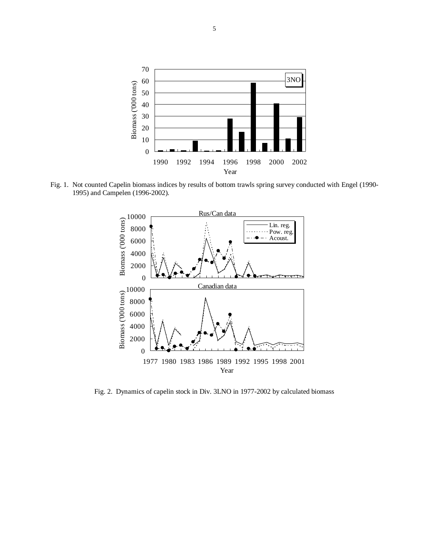

Fig. 1. Not counted Capelin biomass indices by results of bottom trawls spring survey conducted with Engel (1990- 1995) and Campelen (1996-2002).



Fig. 2. Dynamics of capelin stock in Div. 3LNO in 1977-2002 by calculated biomass